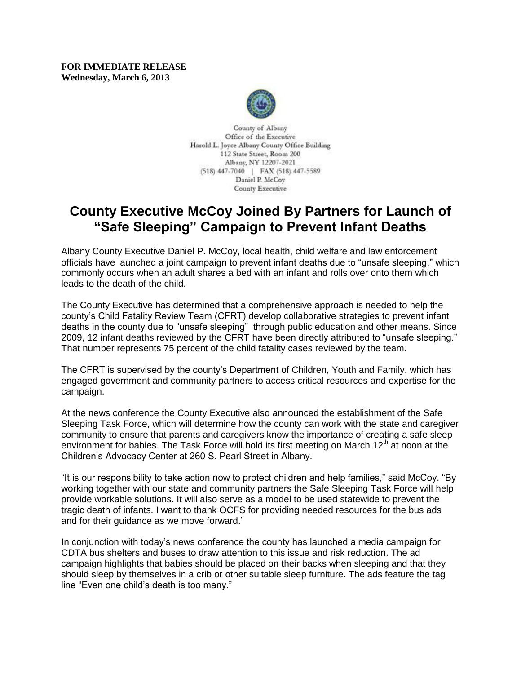**FOR IMMEDIATE RELEASE Wednesday, March 6, 2013**



County of Albany Office of the Executive Harold L. Joyce Albany County Office Building 112 State Street, Room 200 Albany, NY 12207-2021 (518) 447-7040 | FAX (518) 447-5589 Daniel P. McCoy **County Executive** 

## **County Executive McCoy Joined By Partners for Launch of "Safe Sleeping" Campaign to Prevent Infant Deaths**

Albany County Executive Daniel P. McCoy, local health, child welfare and law enforcement officials have launched a joint campaign to prevent infant deaths due to "unsafe sleeping," which commonly occurs when an adult shares a bed with an infant and rolls over onto them which leads to the death of the child.

The County Executive has determined that a comprehensive approach is needed to help the county's Child Fatality Review Team (CFRT) develop collaborative strategies to prevent infant deaths in the county due to "unsafe sleeping" through public education and other means. Since 2009, 12 infant deaths reviewed by the CFRT have been directly attributed to "unsafe sleeping." That number represents 75 percent of the child fatality cases reviewed by the team.

The CFRT is supervised by the county's Department of Children, Youth and Family, which has engaged government and community partners to access critical resources and expertise for the campaign.

At the news conference the County Executive also announced the establishment of the Safe Sleeping Task Force, which will determine how the county can work with the state and caregiver community to ensure that parents and caregivers know the importance of creating a safe sleep environment for babies. The Task Force will hold its first meeting on March  $12<sup>th</sup>$  at noon at the Children's Advocacy Center at 260 S. Pearl Street in Albany.

"It is our responsibility to take action now to protect children and help families," said McCoy. "By working together with our state and community partners the Safe Sleeping Task Force will help provide workable solutions. It will also serve as a model to be used statewide to prevent the tragic death of infants. I want to thank OCFS for providing needed resources for the bus ads and for their guidance as we move forward."

In conjunction with today's news conference the county has launched a media campaign for CDTA bus shelters and buses to draw attention to this issue and risk reduction. The ad campaign highlights that babies should be placed on their backs when sleeping and that they should sleep by themselves in a crib or other suitable sleep furniture. The ads feature the tag line "Even one child's death is too many."